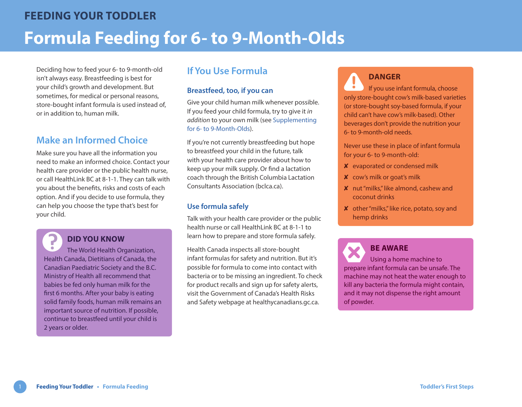Deciding how to feed your 6- to 9-month-old isn't always easy. Breastfeeding is best for your child's growth and development. But sometimes, for medical or personal reasons, store-bought infant formula is used instead of, or in addition to, human milk.

## **Make an Informed Choice**

Make sure you have all the information you need to make an informed choice. Contact your health care provider or the public health nurse, or call HealthLink BC at 8-1-1. They can talk with you about the benefits, risks and costs of each option. And if you decide to use formula, they can help you choose the type that's best for your child.

# **DID YOU KNOW**

The World Health Organization, Health Canada, Dietitians of Canada, the Canadian Paediatric Society and the B.C. Ministry of Health all recommend that babies be fed only human milk for the first 6 months. After your baby is eating solid family foods, human milk remains an important source of nutrition. If possible, continue to breastfeed until your child is 2 years or older.

## **If You Use Formula**

#### **Breastfeed, too, if you can**

Give your child human milk whenever possible. If you feed your child formula, try to give it *in addition* to your own milk (see [Supplementing](https://www.healthlinkbc.ca/sites/default/files/documents/TFS_supplementing-6-9-month.pdf)  [for 6- to 9-Month-Olds\)](https://www.healthlinkbc.ca/sites/default/files/documents/TFS_supplementing-6-9-month.pdf).

If you're not currently breastfeeding but hope to breastfeed your child in the future, talk with your health care provider about how to keep up your milk supply. Or find a lactation coach through the British Columbi[a Lactation](http://bclca.ca/Find-a-BCLCA-Lactation-Consultant)  [Consultants Association](http://bclca.ca/Find-a-BCLCA-Lactation-Consultant) ([bclca.ca](http://www.bclca.ca)).

#### **Use formula safely**

Talk with your health care provider or the public health nurse or call HealthLink BC at 8-1-1 to learn how to prepare and store formula safely.

Health Canada inspects all store-bought infant formulas for safety and nutrition. But it's possible for formula to come into contact with bacteria or to be missing an ingredient. To check for product recalls and sign up for safety alerts, visit the [Government of Canada's Health Risks](http://healthycanadians.gc.ca/recall-alert-rappel-avis/index-eng.php)  [and Safety](http://healthycanadians.gc.ca/recall-alert-rappel-avis/index-eng.php) webpage at [healthycanadians.gc.ca](https://www.canada.ca/en/services/health.html).

### **DANGER**

If you use infant formula, choose only store-bought cow's milk-based varieties (or store-bought soy-based formula, if your child can't have cow's milk-based). Other beverages don't provide the nutrition your 6- to 9-month-old needs.

Never use these in place of infant formula for your 6- to 9-month-old:

- ✘ evaporated or condensed milk
- ✘ cow's milk or goat's milk
- ✘ nut "milks," like almond, cashew and coconut drinks
- ✘ other "milks," like rice, potato, soy and hemp drinks

**BE AWARE** Using a home machine to prepare infant formula can be unsafe. The machine may not heat the water enough to kill any bacteria the formula might contain, and it may not dispense the right amount of powder.